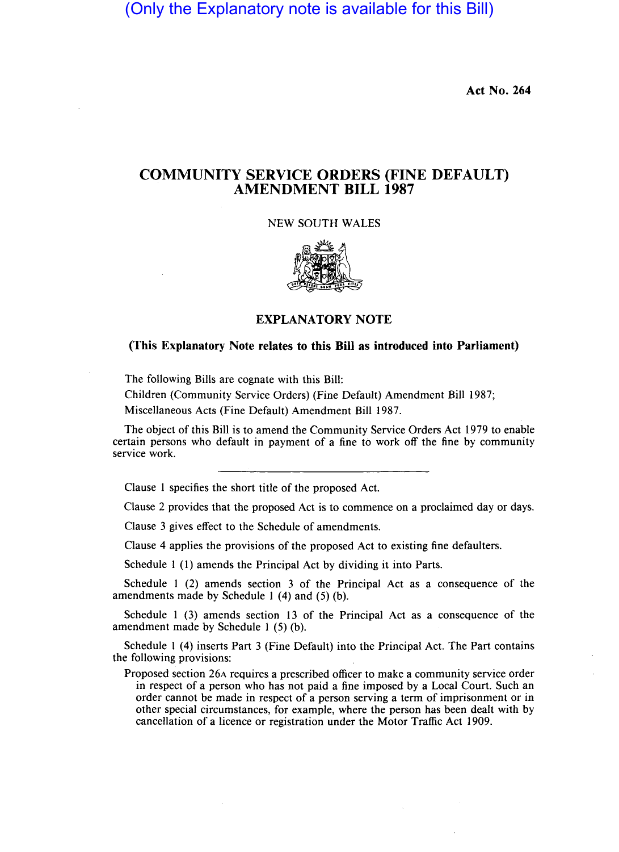(Only the Explanatory note is available for this Bill)

**Act No. 264** 

## **COMMUNITY SERVICE ORDERS (FINE DEFAULT) AMENDMENT BILL 1987**

NEW SOUTH WALES



**EXPLANATORY NOTE** 

## **(This Explanatory Note relates to this Bill as introduced into Parliament)**

The following Bills are cognate with this Bill:

Children (Community Service Orders) (Fine Default) Amendment Bill 1987; Miscellaneous Acts (Fine Default) Amendment Bill 1987.

The object of this Bill is to amend the Community Service Orders Act 1979 to enable certain persons who default in payment of a fine to work off the fine by community service work.

Clause I specifies the short title of the proposed Act.

Clause 2 provides that the proposed Act is to commence on a proclaimed day or days.

Clause 3 gives effect to the Schedule of amendments.

Clause 4 applies the provisions of the proposed Act to existing fine defaulters.

Schedule 1 (1) amends the Principal Act by dividing it into Parts.

Schedule I (2) amends section 3 of the Principal Act as a consequence of the amendments made by Schedule I (4) and (5) (b).

Schedule I (3) amends section 13 of the Principal Act as a consequence of the amendment made by Schedule I (5) (b).

Schedule I (4) inserts Part 3 (Fine Default) into the Principal Act. The Part contains the following provisions:

Proposed section 26A requires a prescribed officer to make a community service order in respect of a person who has not paid a fine imposed by a Local Court. Such an order cannot be made in respect of a person serving a term of imprisonment or in other special circumstances, for example, where the person has been dealt with by cancellation of a licence or registration under the Motor Traffic Act 1909.